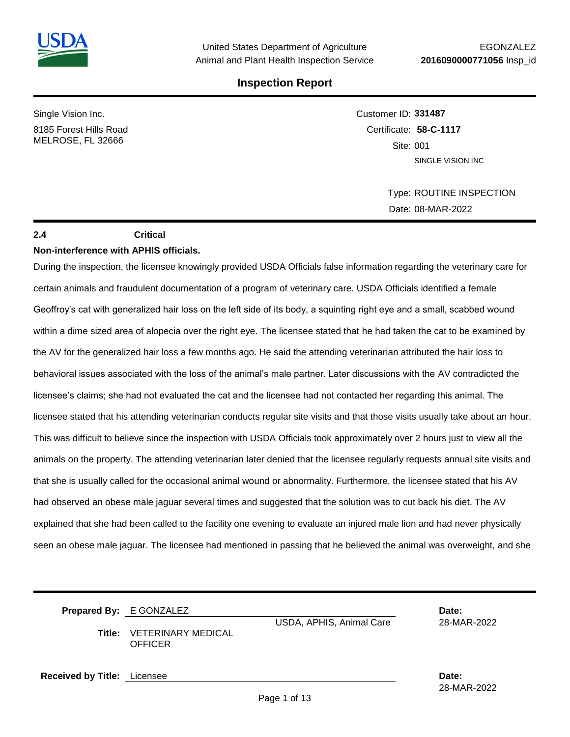

Single Vision Inc.

8185 Forest Hills Road MELROSE, FL 32666

Customer ID: **331487** Certificate: **58-C-1117**  Site: 001 SINGLE VISION INC

> Type: ROUTINE INSPECTION Date: 08-MAR-2022

#### **2.4 Critical**

#### **Non-interference with APHIS officials.**

During the inspection, the licensee knowingly provided USDA Officials false information regarding the veterinary care for certain animals and fraudulent documentation of a program of veterinary care. USDA Officials identified a female Geoffroy's cat with generalized hair loss on the left side of its body, a squinting right eye and a small, scabbed wound within a dime sized area of alopecia over the right eye. The licensee stated that he had taken the cat to be examined by the AV for the generalized hair loss a few months ago. He said the attending veterinarian attributed the hair loss to behavioral issues associated with the loss of the animal's male partner. Later discussions with the AV contradicted the licensee's claims; she had not evaluated the cat and the licensee had not contacted her regarding this animal. The licensee stated that his attending veterinarian conducts regular site visits and that those visits usually take about an hour. This was difficult to believe since the inspection with USDA Officials took approximately over 2 hours just to view all the animals on the property. The attending veterinarian later denied that the licensee regularly requests annual site visits and that she is usually called for the occasional animal wound or abnormality. Furthermore, the licensee stated that his AV had observed an obese male jaguar several times and suggested that the solution was to cut back his diet. The AV explained that she had been called to the facility one evening to evaluate an injured male lion and had never physically seen an obese male jaguar. The licensee had mentioned in passing that he believed the animal was overweight, and she

**Prepared By:** E GONZALEZ **Date:** USDA, APHIS, Animal Care 28-MAR-2022 **Title:** VETERINARY MEDICAL **OFFICER Received by Title:** Licensee **Date:**

Page 1 of 13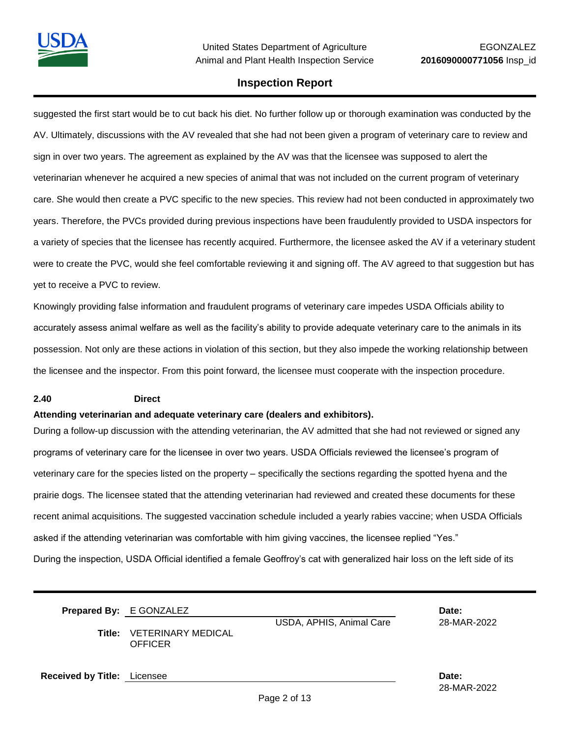suggested the first start would be to cut back his diet. No further follow up or thorough examination was conducted by the AV. Ultimately, discussions with the AV revealed that she had not been given a program of veterinary care to review and sign in over two years. The agreement as explained by the AV was that the licensee was supposed to alert the veterinarian whenever he acquired a new species of animal that was not included on the current program of veterinary care. She would then create a PVC specific to the new species. This review had not been conducted in approximately two years. Therefore, the PVCs provided during previous inspections have been fraudulently provided to USDA inspectors for a variety of species that the licensee has recently acquired. Furthermore, the licensee asked the AV if a veterinary student were to create the PVC, would she feel comfortable reviewing it and signing off. The AV agreed to that suggestion but has yet to receive a PVC to review.

Knowingly providing false information and fraudulent programs of veterinary care impedes USDA Officials ability to accurately assess animal welfare as well as the facility's ability to provide adequate veterinary care to the animals in its possession. Not only are these actions in violation of this section, but they also impede the working relationship between the licensee and the inspector. From this point forward, the licensee must cooperate with the inspection procedure.

#### **2.40 Direct**

#### **Attending veterinarian and adequate veterinary care (dealers and exhibitors).**

During a follow-up discussion with the attending veterinarian, the AV admitted that she had not reviewed or signed any programs of veterinary care for the licensee in over two years. USDA Officials reviewed the licensee's program of veterinary care for the species listed on the property – specifically the sections regarding the spotted hyena and the prairie dogs. The licensee stated that the attending veterinarian had reviewed and created these documents for these recent animal acquisitions. The suggested vaccination schedule included a yearly rabies vaccine; when USDA Officials asked if the attending veterinarian was comfortable with him giving vaccines, the licensee replied "Yes." During the inspection, USDA Official identified a female Geoffroy's cat with generalized hair loss on the left side of its

| Title:                             | <b>Prepared By: E GONZALEZ</b><br>VETERINARY MEDICAL<br><b>OFFICER</b> | USDA, APHIS, Animal Care | Date:<br>28-MAR-2022 |
|------------------------------------|------------------------------------------------------------------------|--------------------------|----------------------|
| <b>Received by Title:</b> Licensee |                                                                        |                          | Date:                |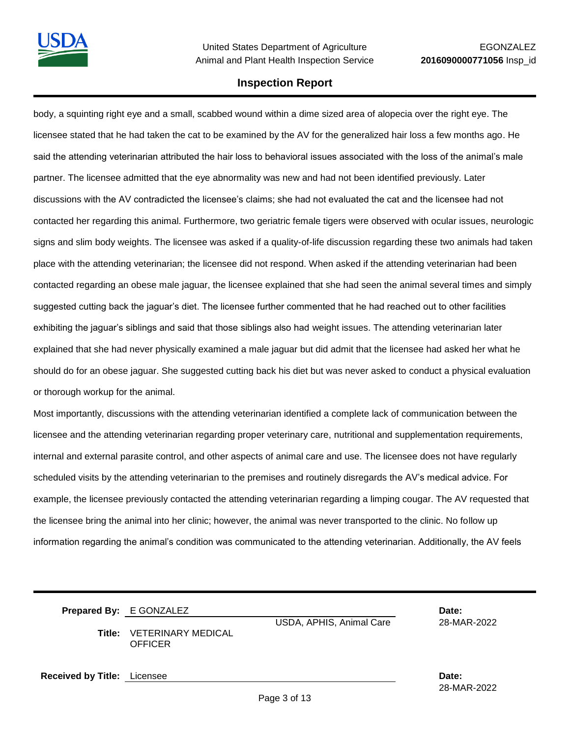body, a squinting right eye and a small, scabbed wound within a dime sized area of alopecia over the right eye. The licensee stated that he had taken the cat to be examined by the AV for the generalized hair loss a few months ago. He said the attending veterinarian attributed the hair loss to behavioral issues associated with the loss of the animal's male partner. The licensee admitted that the eye abnormality was new and had not been identified previously. Later discussions with the AV contradicted the licensee's claims; she had not evaluated the cat and the licensee had not contacted her regarding this animal. Furthermore, two geriatric female tigers were observed with ocular issues, neurologic signs and slim body weights. The licensee was asked if a quality-of-life discussion regarding these two animals had taken place with the attending veterinarian; the licensee did not respond. When asked if the attending veterinarian had been contacted regarding an obese male jaguar, the licensee explained that she had seen the animal several times and simply suggested cutting back the jaguar's diet. The licensee further commented that he had reached out to other facilities exhibiting the jaguar's siblings and said that those siblings also had weight issues. The attending veterinarian later explained that she had never physically examined a male jaguar but did admit that the licensee had asked her what he should do for an obese jaguar. She suggested cutting back his diet but was never asked to conduct a physical evaluation or thorough workup for the animal.

Most importantly, discussions with the attending veterinarian identified a complete lack of communication between the licensee and the attending veterinarian regarding proper veterinary care, nutritional and supplementation requirements, internal and external parasite control, and other aspects of animal care and use. The licensee does not have regularly scheduled visits by the attending veterinarian to the premises and routinely disregards the AV's medical advice. For example, the licensee previously contacted the attending veterinarian regarding a limping cougar. The AV requested that the licensee bring the animal into her clinic; however, the animal was never transported to the clinic. No follow up information regarding the animal's condition was communicated to the attending veterinarian. Additionally, the AV feels

|                                    | Prepared By: E GONZALEZ<br><b>Title: VETERINARY MEDICAL</b><br><b>OFFICER</b> | USDA, APHIS, Animal Care | Date:<br>28-MAR-2022 |
|------------------------------------|-------------------------------------------------------------------------------|--------------------------|----------------------|
| <b>Received by Title:</b> Licensee |                                                                               |                          | Date:                |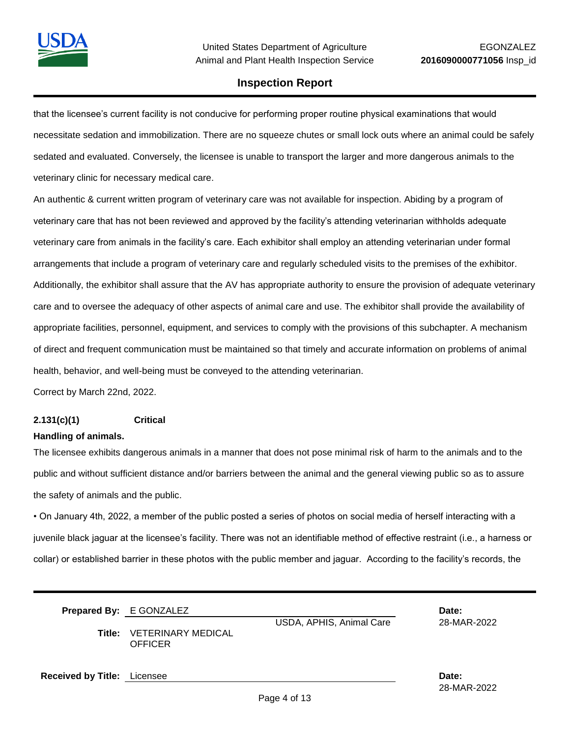

that the licensee's current facility is not conducive for performing proper routine physical examinations that would necessitate sedation and immobilization. There are no squeeze chutes or small lock outs where an animal could be safely sedated and evaluated. Conversely, the licensee is unable to transport the larger and more dangerous animals to the veterinary clinic for necessary medical care.

An authentic & current written program of veterinary care was not available for inspection. Abiding by a program of veterinary care that has not been reviewed and approved by the facility's attending veterinarian withholds adequate veterinary care from animals in the facility's care. Each exhibitor shall employ an attending veterinarian under formal arrangements that include a program of veterinary care and regularly scheduled visits to the premises of the exhibitor. Additionally, the exhibitor shall assure that the AV has appropriate authority to ensure the provision of adequate veterinary care and to oversee the adequacy of other aspects of animal care and use. The exhibitor shall provide the availability of appropriate facilities, personnel, equipment, and services to comply with the provisions of this subchapter. A mechanism of direct and frequent communication must be maintained so that timely and accurate information on problems of animal health, behavior, and well-being must be conveyed to the attending veterinarian.

Correct by March 22nd, 2022.

#### **2.131(c)(1) Critical**

#### **Handling of animals.**

The licensee exhibits dangerous animals in a manner that does not pose minimal risk of harm to the animals and to the public and without sufficient distance and/or barriers between the animal and the general viewing public so as to assure the safety of animals and the public.

• On January 4th, 2022, a member of the public posted a series of photos on social media of herself interacting with a juvenile black jaguar at the licensee's facility. There was not an identifiable method of effective restraint (i.e., a harness or collar) or established barrier in these photos with the public member and jaguar. According to the facility's records, the

|                                    | <b>Prepared By: E GONZALEZ</b><br>USDA, APHIS, Animal Care<br>Title: VETERINARY MEDICAL<br>OFFICER |  | Date:<br>28-MAR-2022 |
|------------------------------------|----------------------------------------------------------------------------------------------------|--|----------------------|
| <b>Received by Title:</b> Licensee |                                                                                                    |  | Date:                |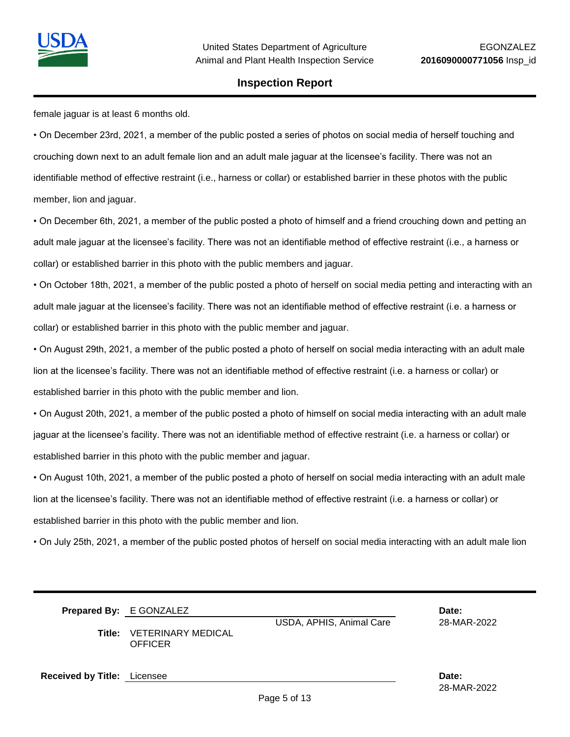

female jaguar is at least 6 months old.

• On December 23rd, 2021, a member of the public posted a series of photos on social media of herself touching and crouching down next to an adult female lion and an adult male jaguar at the licensee's facility. There was not an identifiable method of effective restraint (i.e., harness or collar) or established barrier in these photos with the public member, lion and jaguar.

• On December 6th, 2021, a member of the public posted a photo of himself and a friend crouching down and petting an adult male jaguar at the licensee's facility. There was not an identifiable method of effective restraint (i.e., a harness or collar) or established barrier in this photo with the public members and jaguar.

• On October 18th, 2021, a member of the public posted a photo of herself on social media petting and interacting with an adult male jaguar at the licensee's facility. There was not an identifiable method of effective restraint (i.e. a harness or collar) or established barrier in this photo with the public member and jaguar.

• On August 29th, 2021, a member of the public posted a photo of herself on social media interacting with an adult male lion at the licensee's facility. There was not an identifiable method of effective restraint (i.e. a harness or collar) or established barrier in this photo with the public member and lion.

• On August 20th, 2021, a member of the public posted a photo of himself on social media interacting with an adult male jaguar at the licensee's facility. There was not an identifiable method of effective restraint (i.e. a harness or collar) or established barrier in this photo with the public member and jaguar.

• On August 10th, 2021, a member of the public posted a photo of herself on social media interacting with an adult male lion at the licensee's facility. There was not an identifiable method of effective restraint (i.e. a harness or collar) or established barrier in this photo with the public member and lion.

• On July 25th, 2021, a member of the public posted photos of herself on social media interacting with an adult male lion

| Title:                             | <b>Prepared By: E GONZALEZ</b><br>VETERINARY MEDICAL<br><b>OFFICER</b> | USDA, APHIS, Animal Care | Date:<br>28-MAR-2022 |
|------------------------------------|------------------------------------------------------------------------|--------------------------|----------------------|
| <b>Received by Title:</b> Licensee |                                                                        |                          | Date:                |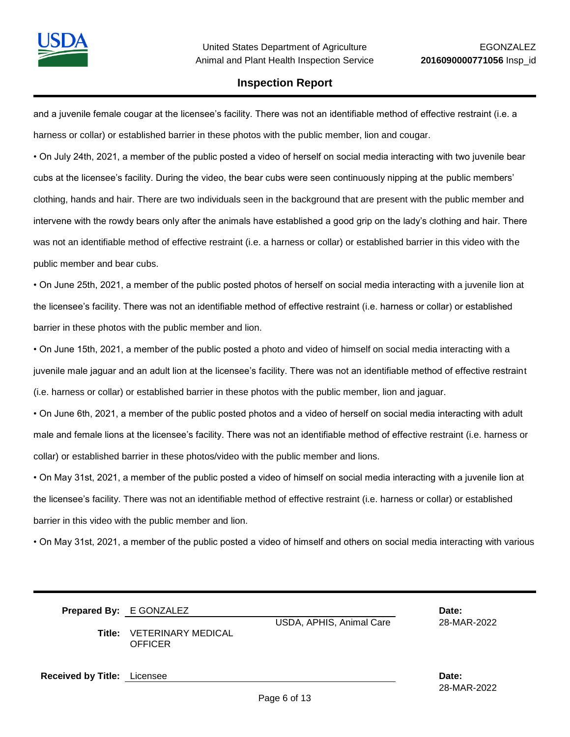and a juvenile female cougar at the licensee's facility. There was not an identifiable method of effective restraint (i.e. a harness or collar) or established barrier in these photos with the public member, lion and cougar.

• On July 24th, 2021, a member of the public posted a video of herself on social media interacting with two juvenile bear cubs at the licensee's facility. During the video, the bear cubs were seen continuously nipping at the public members' clothing, hands and hair. There are two individuals seen in the background that are present with the public member and intervene with the rowdy bears only after the animals have established a good grip on the lady's clothing and hair. There was not an identifiable method of effective restraint (i.e. a harness or collar) or established barrier in this video with the public member and bear cubs.

• On June 25th, 2021, a member of the public posted photos of herself on social media interacting with a juvenile lion at the licensee's facility. There was not an identifiable method of effective restraint (i.e. harness or collar) or established barrier in these photos with the public member and lion.

• On June 15th, 2021, a member of the public posted a photo and video of himself on social media interacting with a juvenile male jaguar and an adult lion at the licensee's facility. There was not an identifiable method of effective restraint (i.e. harness or collar) or established barrier in these photos with the public member, lion and jaguar.

• On June 6th, 2021, a member of the public posted photos and a video of herself on social media interacting with adult male and female lions at the licensee's facility. There was not an identifiable method of effective restraint (i.e. harness or collar) or established barrier in these photos/video with the public member and lions.

• On May 31st, 2021, a member of the public posted a video of himself on social media interacting with a juvenile lion at the licensee's facility. There was not an identifiable method of effective restraint (i.e. harness or collar) or established barrier in this video with the public member and lion.

• On May 31st, 2021, a member of the public posted a video of himself and others on social media interacting with various

|                                    | <b>Prepared By:</b> E GONZALEZ                     |                          | Date:       |
|------------------------------------|----------------------------------------------------|--------------------------|-------------|
|                                    | <b>Title: VETERINARY MEDICAL</b><br><b>OFFICER</b> | USDA, APHIS, Animal Care | 28-MAR-2022 |
| <b>Received by Title:</b> Licensee |                                                    |                          | Date:       |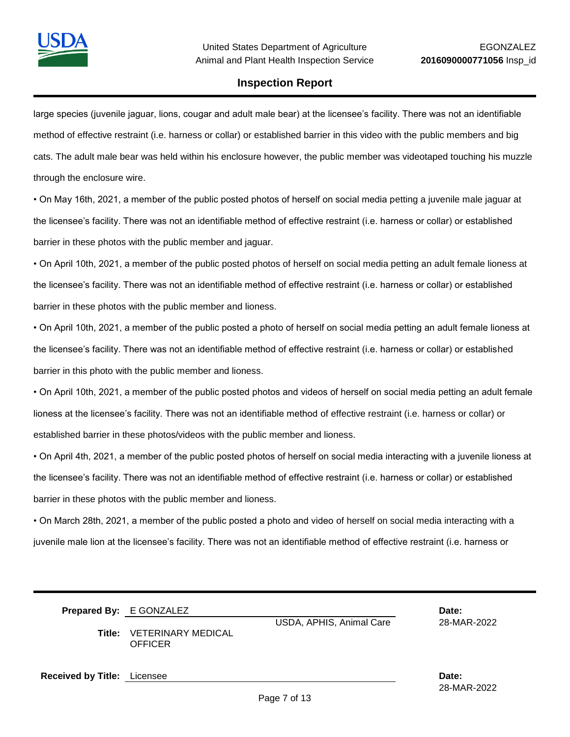

large species (juvenile jaguar, lions, cougar and adult male bear) at the licensee's facility. There was not an identifiable method of effective restraint (i.e. harness or collar) or established barrier in this video with the public members and big cats. The adult male bear was held within his enclosure however, the public member was videotaped touching his muzzle through the enclosure wire.

• On May 16th, 2021, a member of the public posted photos of herself on social media petting a juvenile male jaguar at the licensee's facility. There was not an identifiable method of effective restraint (i.e. harness or collar) or established barrier in these photos with the public member and jaguar.

• On April 10th, 2021, a member of the public posted photos of herself on social media petting an adult female lioness at the licensee's facility. There was not an identifiable method of effective restraint (i.e. harness or collar) or established barrier in these photos with the public member and lioness.

• On April 10th, 2021, a member of the public posted a photo of herself on social media petting an adult female lioness at the licensee's facility. There was not an identifiable method of effective restraint (i.e. harness or collar) or established barrier in this photo with the public member and lioness.

• On April 10th, 2021, a member of the public posted photos and videos of herself on social media petting an adult female lioness at the licensee's facility. There was not an identifiable method of effective restraint (i.e. harness or collar) or established barrier in these photos/videos with the public member and lioness.

• On April 4th, 2021, a member of the public posted photos of herself on social media interacting with a juvenile lioness at the licensee's facility. There was not an identifiable method of effective restraint (i.e. harness or collar) or established barrier in these photos with the public member and lioness.

• On March 28th, 2021, a member of the public posted a photo and video of herself on social media interacting with a juvenile male lion at the licensee's facility. There was not an identifiable method of effective restraint (i.e. harness or

| <b>Prepared By: E GONZALEZ</b>                     |                          | Date:       |
|----------------------------------------------------|--------------------------|-------------|
|                                                    | USDA, APHIS, Animal Care | 28-MAR-2022 |
| <b>Title: VETERINARY MEDICAL</b><br><b>OFFICER</b> |                          |             |
|                                                    |                          |             |

**Received by Title:** Licensee **Date:**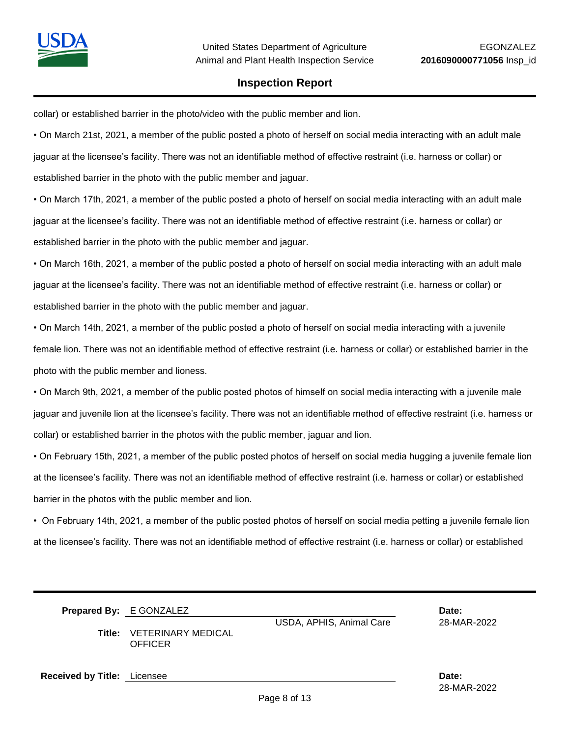

collar) or established barrier in the photo/video with the public member and lion.

• On March 21st, 2021, a member of the public posted a photo of herself on social media interacting with an adult male jaguar at the licensee's facility. There was not an identifiable method of effective restraint (i.e. harness or collar) or established barrier in the photo with the public member and jaguar.

• On March 17th, 2021, a member of the public posted a photo of herself on social media interacting with an adult male jaguar at the licensee's facility. There was not an identifiable method of effective restraint (i.e. harness or collar) or established barrier in the photo with the public member and jaguar.

• On March 16th, 2021, a member of the public posted a photo of herself on social media interacting with an adult male jaguar at the licensee's facility. There was not an identifiable method of effective restraint (i.e. harness or collar) or established barrier in the photo with the public member and jaguar.

• On March 14th, 2021, a member of the public posted a photo of herself on social media interacting with a juvenile female lion. There was not an identifiable method of effective restraint (i.e. harness or collar) or established barrier in the photo with the public member and lioness.

• On March 9th, 2021, a member of the public posted photos of himself on social media interacting with a juvenile male jaguar and juvenile lion at the licensee's facility. There was not an identifiable method of effective restraint (i.e. harness or collar) or established barrier in the photos with the public member, jaguar and lion.

• On February 15th, 2021, a member of the public posted photos of herself on social media hugging a juvenile female lion at the licensee's facility. There was not an identifiable method of effective restraint (i.e. harness or collar) or established barrier in the photos with the public member and lion.

• On February 14th, 2021, a member of the public posted photos of herself on social media petting a juvenile female lion at the licensee's facility. There was not an identifiable method of effective restraint (i.e. harness or collar) or established

|        | <b>Prepared By: E GONZALEZ</b>       |                          | Date:       |
|--------|--------------------------------------|--------------------------|-------------|
|        |                                      | USDA, APHIS, Animal Care | 28-MAR-2022 |
| Title: | VETERINARY MEDICAL<br><b>OFFICER</b> |                          |             |
|        |                                      |                          |             |

**Received by Title:** Licensee **Date:**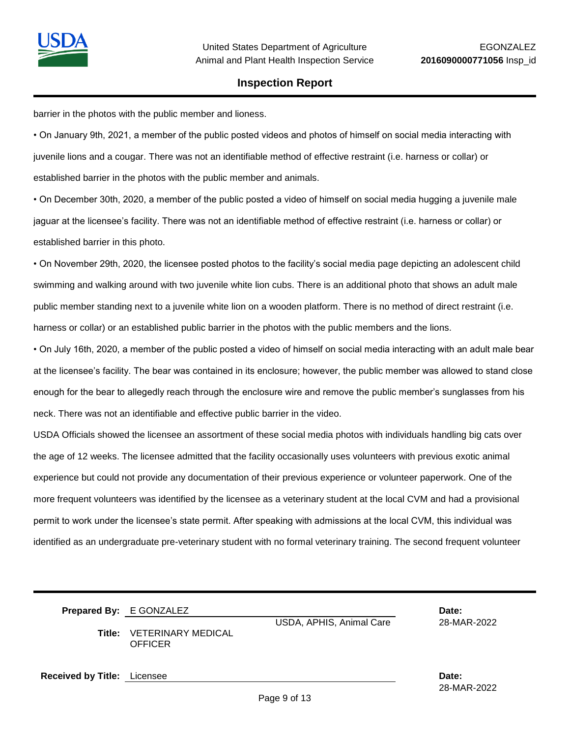

barrier in the photos with the public member and lioness.

• On January 9th, 2021, a member of the public posted videos and photos of himself on social media interacting with juvenile lions and a cougar. There was not an identifiable method of effective restraint (i.e. harness or collar) or established barrier in the photos with the public member and animals.

• On December 30th, 2020, a member of the public posted a video of himself on social media hugging a juvenile male jaguar at the licensee's facility. There was not an identifiable method of effective restraint (i.e. harness or collar) or established barrier in this photo.

• On November 29th, 2020, the licensee posted photos to the facility's social media page depicting an adolescent child swimming and walking around with two juvenile white lion cubs. There is an additional photo that shows an adult male public member standing next to a juvenile white lion on a wooden platform. There is no method of direct restraint (i.e. harness or collar) or an established public barrier in the photos with the public members and the lions.

• On July 16th, 2020, a member of the public posted a video of himself on social media interacting with an adult male bear at the licensee's facility. The bear was contained in its enclosure; however, the public member was allowed to stand close enough for the bear to allegedly reach through the enclosure wire and remove the public member's sunglasses from his neck. There was not an identifiable and effective public barrier in the video.

USDA Officials showed the licensee an assortment of these social media photos with individuals handling big cats over the age of 12 weeks. The licensee admitted that the facility occasionally uses volunteers with previous exotic animal experience but could not provide any documentation of their previous experience or volunteer paperwork. One of the more frequent volunteers was identified by the licensee as a veterinary student at the local CVM and had a provisional permit to work under the licensee's state permit. After speaking with admissions at the local CVM, this individual was identified as an undergraduate pre-veterinary student with no formal veterinary training. The second frequent volunteer

|                                    | <b>Prepared By: E GONZALEZ</b><br><b>Title: VETERINARY MEDICAL</b><br><b>OFFICER</b> | USDA, APHIS, Animal Care | Date:<br>28-MAR-2022 |
|------------------------------------|--------------------------------------------------------------------------------------|--------------------------|----------------------|
| <b>Received by Title:</b> Licensee |                                                                                      |                          | Date:                |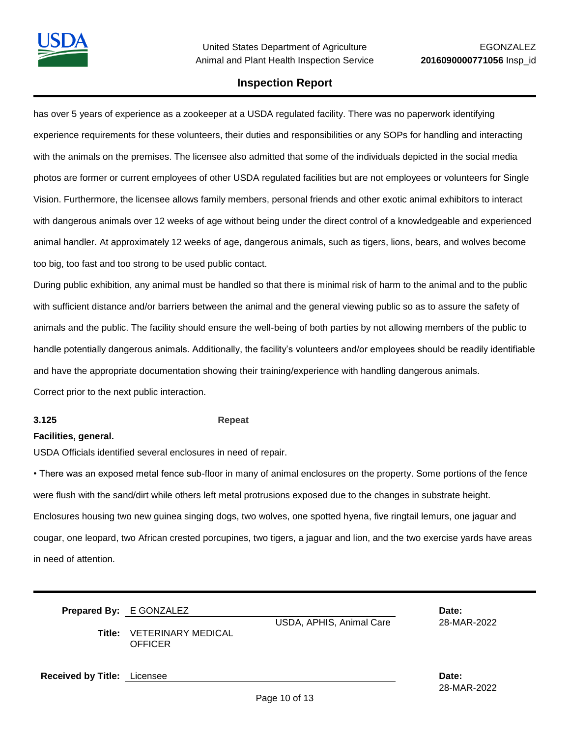has over 5 years of experience as a zookeeper at a USDA regulated facility. There was no paperwork identifying experience requirements for these volunteers, their duties and responsibilities or any SOPs for handling and interacting with the animals on the premises. The licensee also admitted that some of the individuals depicted in the social media photos are former or current employees of other USDA regulated facilities but are not employees or volunteers for Single Vision. Furthermore, the licensee allows family members, personal friends and other exotic animal exhibitors to interact with dangerous animals over 12 weeks of age without being under the direct control of a knowledgeable and experienced animal handler. At approximately 12 weeks of age, dangerous animals, such as tigers, lions, bears, and wolves become too big, too fast and too strong to be used public contact.

During public exhibition, any animal must be handled so that there is minimal risk of harm to the animal and to the public with sufficient distance and/or barriers between the animal and the general viewing public so as to assure the safety of animals and the public. The facility should ensure the well-being of both parties by not allowing members of the public to handle potentially dangerous animals. Additionally, the facility's volunteers and/or employees should be readily identifiable and have the appropriate documentation showing their training/experience with handling dangerous animals. Correct prior to the next public interaction.

#### **3.125 Repeat**

#### **Facilities, general.**

USDA Officials identified several enclosures in need of repair.

• There was an exposed metal fence sub-floor in many of animal enclosures on the property. Some portions of the fence were flush with the sand/dirt while others left metal protrusions exposed due to the changes in substrate height. Enclosures housing two new guinea singing dogs, two wolves, one spotted hyena, five ringtail lemurs, one jaguar and cougar, one leopard, two African crested porcupines, two tigers, a jaguar and lion, and the two exercise yards have areas in need of attention.

|                                    | <b>Prepared By: E GONZALEZ</b><br>Title: VETERINARY MEDICAL<br><b>OFFICER</b> | USDA, APHIS, Animal Care | Date:<br>28-MAR-2022 |
|------------------------------------|-------------------------------------------------------------------------------|--------------------------|----------------------|
| <b>Received by Title:</b> Licensee |                                                                               |                          | Date:<br>28-MAR-2022 |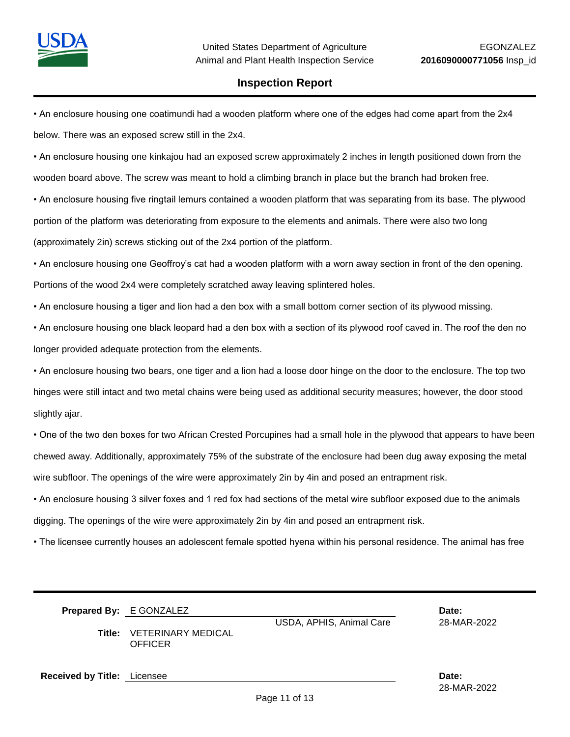• An enclosure housing one coatimundi had a wooden platform where one of the edges had come apart from the 2x4 below. There was an exposed screw still in the 2x4.

• An enclosure housing one kinkajou had an exposed screw approximately 2 inches in length positioned down from the wooden board above. The screw was meant to hold a climbing branch in place but the branch had broken free.

• An enclosure housing five ringtail lemurs contained a wooden platform that was separating from its base. The plywood portion of the platform was deteriorating from exposure to the elements and animals. There were also two long (approximately 2in) screws sticking out of the 2x4 portion of the platform.

• An enclosure housing one Geoffroy's cat had a wooden platform with a worn away section in front of the den opening. Portions of the wood 2x4 were completely scratched away leaving splintered holes.

• An enclosure housing a tiger and lion had a den box with a small bottom corner section of its plywood missing.

• An enclosure housing one black leopard had a den box with a section of its plywood roof caved in. The roof the den no longer provided adequate protection from the elements.

• An enclosure housing two bears, one tiger and a lion had a loose door hinge on the door to the enclosure. The top two hinges were still intact and two metal chains were being used as additional security measures; however, the door stood slightly ajar.

• One of the two den boxes for two African Crested Porcupines had a small hole in the plywood that appears to have been chewed away. Additionally, approximately 75% of the substrate of the enclosure had been dug away exposing the metal wire subfloor. The openings of the wire were approximately 2in by 4in and posed an entrapment risk.

• An enclosure housing 3 silver foxes and 1 red fox had sections of the metal wire subfloor exposed due to the animals digging. The openings of the wire were approximately 2in by 4in and posed an entrapment risk.

• The licensee currently houses an adolescent female spotted hyena within his personal residence. The animal has free

|                                    | Prepared By: E GONZALEZ                     | USDA, APHIS, Animal Care | Date:<br>28-MAR-2022 |
|------------------------------------|---------------------------------------------|--------------------------|----------------------|
| Title:                             | <b>VETERINARY MEDICAL</b><br><b>OFFICER</b> |                          |                      |
| <b>Received by Title:</b> Licensee |                                             |                          | Date:                |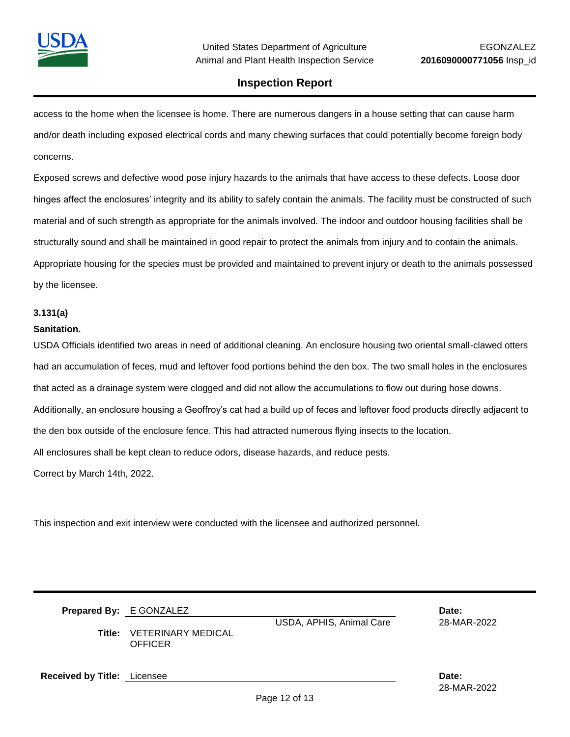

access to the home when the licensee is home. There are numerous dangers in a house setting that can cause harm and/or death including exposed electrical cords and many chewing surfaces that could potentially become foreign body concerns.

Exposed screws and defective wood pose injury hazards to the animals that have access to these defects. Loose door hinges affect the enclosures' integrity and its ability to safely contain the animals. The facility must be constructed of such material and of such strength as appropriate for the animals involved. The indoor and outdoor housing facilities shall be structurally sound and shall be maintained in good repair to protect the animals from injury and to contain the animals. Appropriate housing for the species must be provided and maintained to prevent injury or death to the animals possessed by the licensee.

#### **3.131(a)**

#### **Sanitation.**

USDA Officials identified two areas in need of additional cleaning. An enclosure housing two oriental small-clawed otters had an accumulation of feces, mud and leftover food portions behind the den box. The two small holes in the enclosures that acted as a drainage system were clogged and did not allow the accumulations to flow out during hose downs. Additionally, an enclosure housing a Geoffroy's cat had a build up of feces and leftover food products directly adjacent to the den box outside of the enclosure fence. This had attracted numerous flying insects to the location. All enclosures shall be kept clean to reduce odors, disease hazards, and reduce pests. Correct by March 14th, 2022.

This inspection and exit interview were conducted with the licensee and authorized personnel.

|                                    | <b>Prepared By: E GONZALEZ</b><br><b>Title: VETERINARY MEDICAL</b><br><b>OFFICER</b> | USDA, APHIS, Animal Care | Date:<br>28-MAR-2022 |
|------------------------------------|--------------------------------------------------------------------------------------|--------------------------|----------------------|
| <b>Received by Title:</b> Licensee |                                                                                      |                          | Date:                |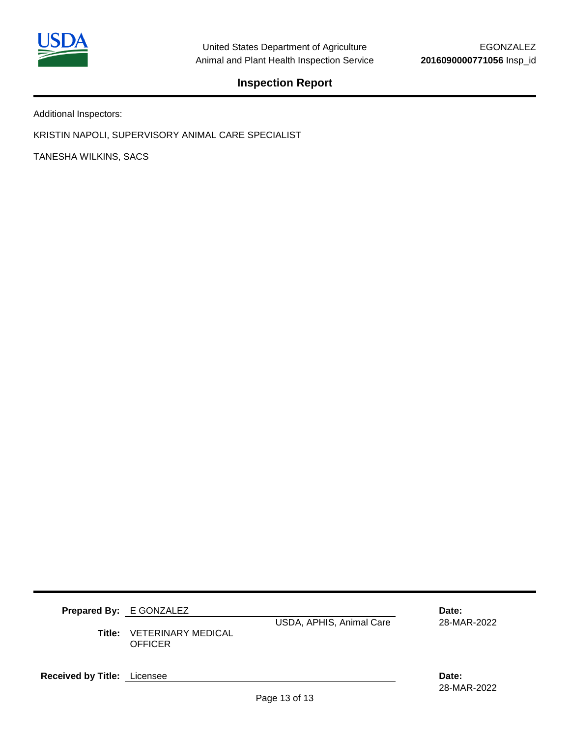

Additional Inspectors:

KRISTIN NAPOLI, SUPERVISORY ANIMAL CARE SPECIALIST

TANESHA WILKINS, SACS

|                                    | <b>Prepared By: E GONZALEZ</b><br><b>Title: VETERINARY MEDICAL</b><br><b>OFFICER</b> | USDA, APHIS, Animal Care | Date:<br>28-MAR-2022 |
|------------------------------------|--------------------------------------------------------------------------------------|--------------------------|----------------------|
| <b>Received by Title:</b> Licensee |                                                                                      |                          | Date:                |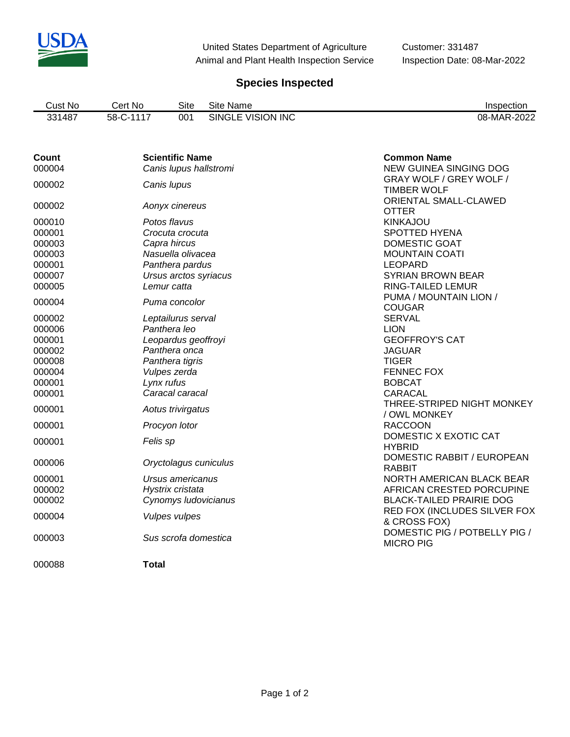

United States Department of Agriculture Customer: 331487 Animal and Plant Health Inspection Service Inspection Date: 08-Mar-2022

# **Species Inspected**

| Cust No | Cert No   | Site | Site Name         | Inspection  |
|---------|-----------|------|-------------------|-------------|
| 331487  | 58-C-1117 | 001  | SINGLE VISION INC | 08-MAR-2022 |

| Count<br>000004 | <b>Scientific Name</b><br>Canis lupus hallstromi | <b>Common Name</b><br><b>NEW GUINEA SINGING DOG</b> |
|-----------------|--------------------------------------------------|-----------------------------------------------------|
| 000002          | Canis lupus                                      | GRAY WOLF / GREY WOLF /<br><b>TIMBER WOLF</b>       |
| 000002          | Aonyx cinereus                                   | ORIENTAL SMALL-CLAWED<br><b>OTTER</b>               |
| 000010          | Potos flavus                                     | <b>KINKAJOU</b>                                     |
| 000001          | Crocuta crocuta                                  | <b>SPOTTED HYENA</b>                                |
| 000003          | Capra hircus                                     | DOMESTIC GOAT                                       |
| 000003          | Nasuella olivacea                                | <b>MOUNTAIN COATI</b>                               |
| 000001          | Panthera pardus                                  | <b>LEOPARD</b>                                      |
| 000007          | Ursus arctos syriacus                            | <b>SYRIAN BROWN BEAR</b>                            |
| 000005          | Lemur catta                                      | RING-TAILED LEMUR                                   |
|                 |                                                  | PUMA / MOUNTAIN LION /                              |
| 000004          | Puma concolor                                    | <b>COUGAR</b>                                       |
| 000002          | Leptailurus serval                               | <b>SERVAL</b>                                       |
| 000006          | Panthera leo                                     | <b>LION</b>                                         |
| 000001          | Leopardus geoffroyi                              | <b>GEOFFROY'S CAT</b>                               |
| 000002          | Panthera onca                                    | <b>JAGUAR</b>                                       |
| 000008          | Panthera tigris                                  | <b>TIGER</b>                                        |
| 000004          | Vulpes zerda                                     | <b>FENNEC FOX</b>                                   |
| 000001          | Lynx rufus                                       | <b>BOBCAT</b>                                       |
| 000001          | Caracal caracal                                  | <b>CARACAL</b>                                      |
| 000001          | Aotus trivirgatus                                | THREE-STRIPED NIGHT MONKEY                          |
|                 |                                                  | / OWL MONKEY                                        |
| 000001          | Procyon lotor                                    | <b>RACCOON</b>                                      |
| 000001          | Felis sp                                         | DOMESTIC X EXOTIC CAT<br><b>HYBRID</b>              |
| 000006          | Oryctolagus cuniculus                            | DOMESTIC RABBIT / EUROPEAN<br><b>RABBIT</b>         |
| 000001          | Ursus americanus                                 | NORTH AMERICAN BLACK BEAR                           |
| 000002          | Hystrix cristata                                 | AFRICAN CRESTED PORCUPINE                           |
| 000002          | Cynomys ludovicianus                             | <b>BLACK-TAILED PRAIRIE DOG</b>                     |
|                 |                                                  | RED FOX (INCLUDES SILVER FOX                        |
| 000004          | <b>Vulpes vulpes</b>                             | & CROSS FOX)                                        |
|                 |                                                  | DOMESTIC PIG / POTBELLY PIG /                       |
| 000003          | Sus scrofa domestica                             | <b>MICRO PIG</b>                                    |
| 000088          | <b>Total</b>                                     |                                                     |